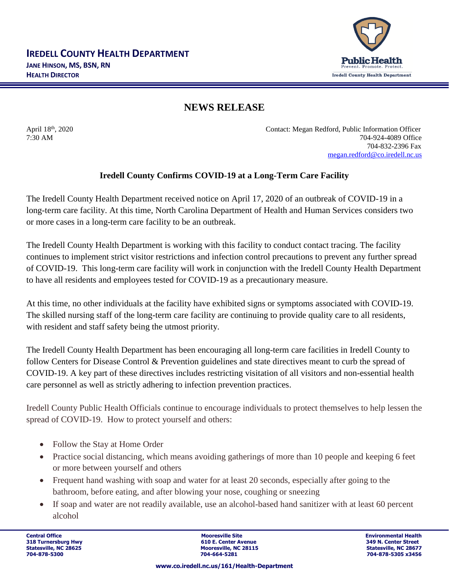

## **NEWS RELEASE**

April 18th, 2020

Contact: Megan Redford, Public Information Officer 7:30 AM 704-924-4089 Office 704-832-2396 Fax [megan.redford@co.iredell.nc.us](mailto:megan.redford@co.iredell.nc.us)

## **Iredell County Confirms COVID-19 at a Long-Term Care Facility**

The Iredell County Health Department received notice on April 17, 2020 of an outbreak of COVID-19 in a long-term care facility. At this time, North Carolina Department of Health and Human Services considers two or more cases in a long-term care facility to be an outbreak.

The Iredell County Health Department is working with this facility to conduct contact tracing. The facility continues to implement strict visitor restrictions and infection control precautions to prevent any further spread of COVID-19. This long-term care facility will work in conjunction with the Iredell County Health Department to have all residents and employees tested for COVID-19 as a precautionary measure.

At this time, no other individuals at the facility have exhibited signs or symptoms associated with COVID-19. The skilled nursing staff of the long-term care facility are continuing to provide quality care to all residents, with resident and staff safety being the utmost priority.

The Iredell County Health Department has been encouraging all long-term care facilities in Iredell County to follow Centers for Disease Control & Prevention guidelines and state directives meant to curb the spread of COVID-19. A key part of these directives includes restricting visitation of all visitors and non-essential health care personnel as well as strictly adhering to infection prevention practices.

Iredell County Public Health Officials continue to encourage individuals to protect themselves to help lessen the spread of COVID-19. How to protect yourself and others:

- Follow the Stay at Home Order
- Practice social distancing, which means avoiding gatherings of more than 10 people and keeping 6 feet or more between yourself and others
- Frequent hand washing with soap and water for at least 20 seconds, especially after going to the bathroom, before eating, and after blowing your nose, coughing or sneezing
- If soap and water are not readily available, use an alcohol-based hand sanitizer with at least 60 percent alcohol

**Central Office Mooresville Site Environmental Health 318 Turnersburg Hwy 610 E. Center Avenue 349 N. Center Street 704-878-5300 704-664-5281 704-878-5305 x3456**

**Statesville, NC 28677**